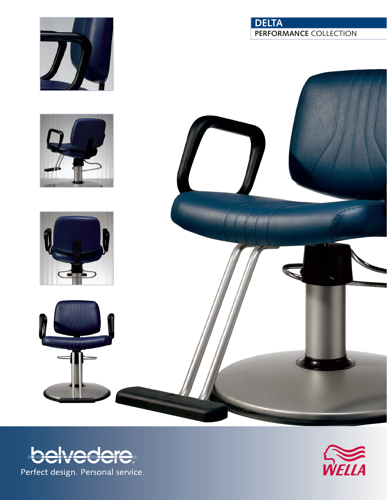







## **DELTA PERFORMANCE** COLLECTION